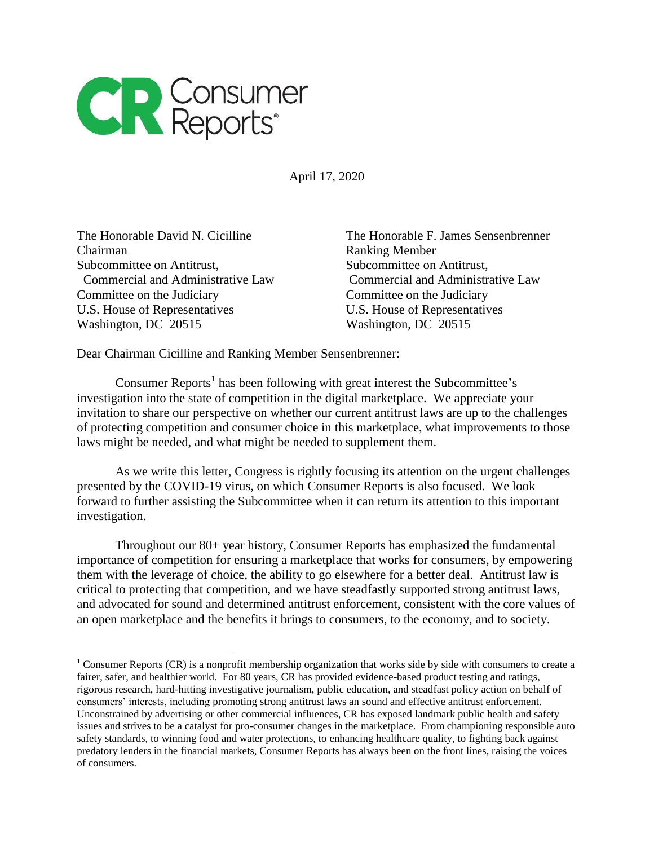

April 17, 2020

Chairman Ranking Member Subcommittee on Antitrust. Subcommittee on Antitrust, Committee on the Judiciary Committee on the Judiciary U.S. House of Representatives U.S. House of Representatives Washington, DC 20515 Washington, DC 20515

 $\overline{\phantom{a}}$ 

The Honorable David N. Cicilline The Honorable F. James Sensenbrenner Commercial and Administrative Law Commercial and Administrative Law

Dear Chairman Cicilline and Ranking Member Sensenbrenner:

Consumer Reports<sup>1</sup> has been following with great interest the Subcommittee's investigation into the state of competition in the digital marketplace. We appreciate your invitation to share our perspective on whether our current antitrust laws are up to the challenges of protecting competition and consumer choice in this marketplace, what improvements to those laws might be needed, and what might be needed to supplement them.

As we write this letter, Congress is rightly focusing its attention on the urgent challenges presented by the COVID-19 virus, on which Consumer Reports is also focused. We look forward to further assisting the Subcommittee when it can return its attention to this important investigation.

Throughout our 80+ year history, Consumer Reports has emphasized the fundamental importance of competition for ensuring a marketplace that works for consumers, by empowering them with the leverage of choice, the ability to go elsewhere for a better deal. Antitrust law is critical to protecting that competition, and we have steadfastly supported strong antitrust laws, and advocated for sound and determined antitrust enforcement, consistent with the core values of an open marketplace and the benefits it brings to consumers, to the economy, and to society.

 $1$  Consumer Reports (CR) is a nonprofit membership organization that works side by side with consumers to create a fairer, safer, and healthier world. For 80 years, CR has provided evidence-based product testing and ratings, rigorous research, hard-hitting investigative journalism, public education, and steadfast policy action on behalf of consumers' interests, including promoting strong antitrust laws an sound and effective antitrust enforcement. Unconstrained by advertising or other commercial influences, CR has exposed landmark public health and safety issues and strives to be a catalyst for pro-consumer changes in the marketplace. From championing responsible auto safety standards, to winning food and water protections, to enhancing healthcare quality, to fighting back against predatory lenders in the financial markets, Consumer Reports has always been on the front lines, raising the voices of consumers.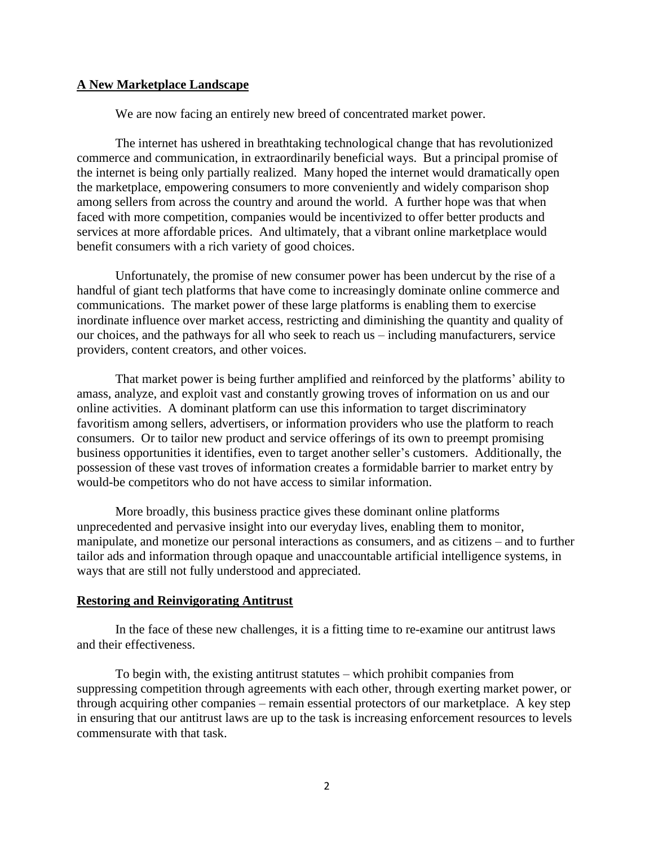## **A New Marketplace Landscape**

We are now facing an entirely new breed of concentrated market power.

The internet has ushered in breathtaking technological change that has revolutionized commerce and communication, in extraordinarily beneficial ways. But a principal promise of the internet is being only partially realized. Many hoped the internet would dramatically open the marketplace, empowering consumers to more conveniently and widely comparison shop among sellers from across the country and around the world. A further hope was that when faced with more competition, companies would be incentivized to offer better products and services at more affordable prices. And ultimately, that a vibrant online marketplace would benefit consumers with a rich variety of good choices.

Unfortunately, the promise of new consumer power has been undercut by the rise of a handful of giant tech platforms that have come to increasingly dominate online commerce and communications. The market power of these large platforms is enabling them to exercise inordinate influence over market access, restricting and diminishing the quantity and quality of our choices, and the pathways for all who seek to reach us – including manufacturers, service providers, content creators, and other voices.

That market power is being further amplified and reinforced by the platforms' ability to amass, analyze, and exploit vast and constantly growing troves of information on us and our online activities. A dominant platform can use this information to target discriminatory favoritism among sellers, advertisers, or information providers who use the platform to reach consumers. Or to tailor new product and service offerings of its own to preempt promising business opportunities it identifies, even to target another seller's customers. Additionally, the possession of these vast troves of information creates a formidable barrier to market entry by would-be competitors who do not have access to similar information.

More broadly, this business practice gives these dominant online platforms unprecedented and pervasive insight into our everyday lives, enabling them to monitor, manipulate, and monetize our personal interactions as consumers, and as citizens – and to further tailor ads and information through opaque and unaccountable artificial intelligence systems, in ways that are still not fully understood and appreciated.

## **Restoring and Reinvigorating Antitrust**

In the face of these new challenges, it is a fitting time to re-examine our antitrust laws and their effectiveness.

To begin with, the existing antitrust statutes – which prohibit companies from suppressing competition through agreements with each other, through exerting market power, or through acquiring other companies – remain essential protectors of our marketplace. A key step in ensuring that our antitrust laws are up to the task is increasing enforcement resources to levels commensurate with that task.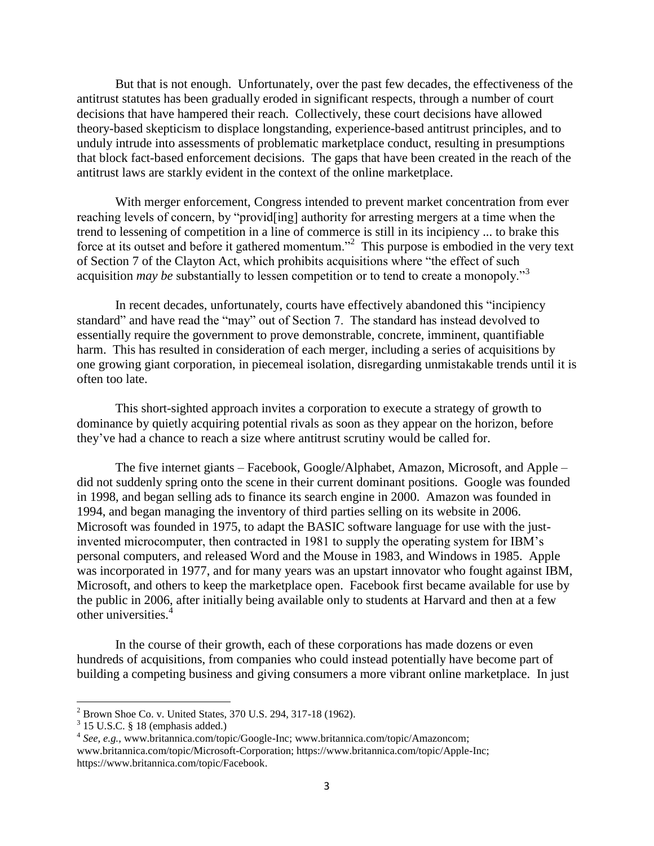But that is not enough. Unfortunately, over the past few decades, the effectiveness of the antitrust statutes has been gradually eroded in significant respects, through a number of court decisions that have hampered their reach. Collectively, these court decisions have allowed theory-based skepticism to displace longstanding, experience-based antitrust principles, and to unduly intrude into assessments of problematic marketplace conduct, resulting in presumptions that block fact-based enforcement decisions. The gaps that have been created in the reach of the antitrust laws are starkly evident in the context of the online marketplace.

With merger enforcement, Congress intended to prevent market concentration from ever reaching levels of concern, by "provid[ing] authority for arresting mergers at a time when the trend to lessening of competition in a line of commerce is still in its incipiency ... to brake this force at its outset and before it gathered momentum."<sup>2</sup> This purpose is embodied in the very text of Section 7 of the Clayton Act, which prohibits acquisitions where "the effect of such acquisition *may be* substantially to lessen competition or to tend to create a monopoly."<sup>3</sup>

In recent decades, unfortunately, courts have effectively abandoned this "incipiency standard" and have read the "may" out of Section 7. The standard has instead devolved to essentially require the government to prove demonstrable, concrete, imminent, quantifiable harm. This has resulted in consideration of each merger, including a series of acquisitions by one growing giant corporation, in piecemeal isolation, disregarding unmistakable trends until it is often too late.

This short-sighted approach invites a corporation to execute a strategy of growth to dominance by quietly acquiring potential rivals as soon as they appear on the horizon, before they've had a chance to reach a size where antitrust scrutiny would be called for.

The five internet giants – Facebook, Google/Alphabet, Amazon, Microsoft, and Apple – did not suddenly spring onto the scene in their current dominant positions. Google was founded in 1998, and began selling ads to finance its search engine in 2000. Amazon was founded in 1994, and began managing the inventory of third parties selling on its website in 2006. Microsoft was founded in 1975, to adapt the BASIC software language for use with the justinvented microcomputer, then contracted in 1981 to supply the operating system for IBM's personal computers, and released Word and the Mouse in 1983, and Windows in 1985. Apple was incorporated in 1977, and for many years was an upstart innovator who fought against IBM, Microsoft, and others to keep the marketplace open. Facebook first became available for use by the public in 2006, after initially being available only to students at Harvard and then at a few other universities.<sup>4</sup>

In the course of their growth, each of these corporations has made dozens or even hundreds of acquisitions, from companies who could instead potentially have become part of building a competing business and giving consumers a more vibrant online marketplace. In just

 $\overline{a}$ 

 $2^{2}$  Brown Shoe Co. v. United States, 370 U.S. 294, 317-18 (1962).

 $3$  15 U.S.C. § 18 (emphasis added.)

<sup>4</sup> *See, e.g.,* www.britannica.com/topic/Google-Inc; www.britannica.com/topic/Amazoncom; www.britannica.com/topic/Microsoft-Corporation; https://www.britannica.com/topic/Apple-Inc; https://www.britannica.com/topic/Facebook.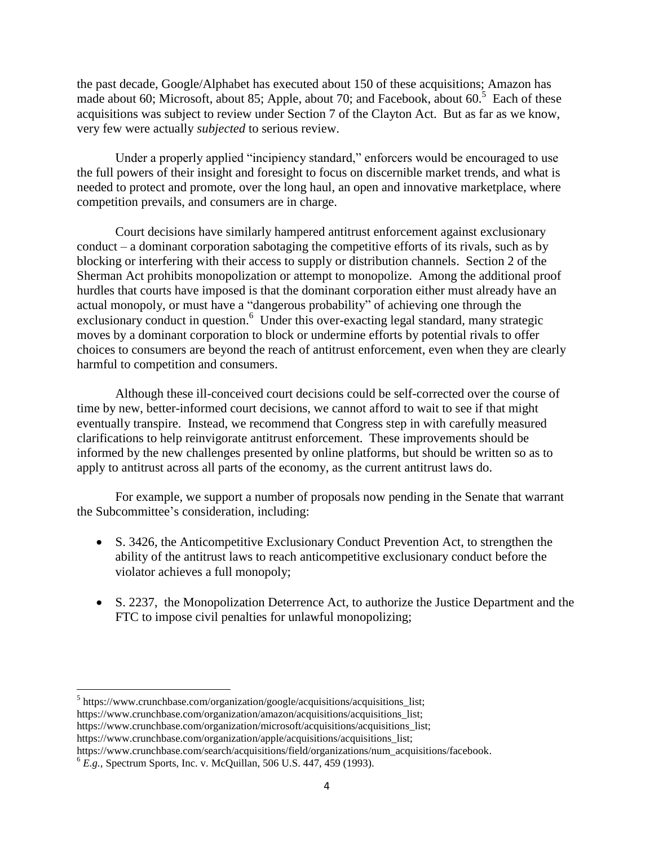the past decade, Google/Alphabet has executed about 150 of these acquisitions; Amazon has made about 60; Microsoft, about 85; Apple, about 70; and Facebook, about  $60<sup>5</sup>$  Each of these acquisitions was subject to review under Section 7 of the Clayton Act. But as far as we know, very few were actually *subjected* to serious review.

Under a properly applied "incipiency standard," enforcers would be encouraged to use the full powers of their insight and foresight to focus on discernible market trends, and what is needed to protect and promote, over the long haul, an open and innovative marketplace, where competition prevails, and consumers are in charge.

Court decisions have similarly hampered antitrust enforcement against exclusionary conduct – a dominant corporation sabotaging the competitive efforts of its rivals, such as by blocking or interfering with their access to supply or distribution channels. Section 2 of the Sherman Act prohibits monopolization or attempt to monopolize. Among the additional proof hurdles that courts have imposed is that the dominant corporation either must already have an actual monopoly, or must have a "dangerous probability" of achieving one through the exclusionary conduct in question.<sup>6</sup> Under this over-exacting legal standard, many strategic moves by a dominant corporation to block or undermine efforts by potential rivals to offer choices to consumers are beyond the reach of antitrust enforcement, even when they are clearly harmful to competition and consumers.

Although these ill-conceived court decisions could be self-corrected over the course of time by new, better-informed court decisions, we cannot afford to wait to see if that might eventually transpire. Instead, we recommend that Congress step in with carefully measured clarifications to help reinvigorate antitrust enforcement. These improvements should be informed by the new challenges presented by online platforms, but should be written so as to apply to antitrust across all parts of the economy, as the current antitrust laws do.

For example, we support a number of proposals now pending in the Senate that warrant the Subcommittee's consideration, including:

- S. 3426, the Anticompetitive Exclusionary Conduct Prevention Act, to strengthen the ability of the antitrust laws to reach anticompetitive exclusionary conduct before the violator achieves a full monopoly;
- S. 2237, the Monopolization Deterrence Act, to authorize the Justice Department and the FTC to impose civil penalties for unlawful monopolizing;

https://www.crunchbase.com/search/acquisitions/field/organizations/num\_acquisitions/facebook.

l

<sup>&</sup>lt;sup>5</sup> https://www.crunchbase.com/organization/google/acquisitions/acquisitions\_list;

https://www.crunchbase.com/organization/amazon/acquisitions/acquisitions\_list;

https://www.crunchbase.com/organization/microsoft/acquisitions/acquisitions list;

https://www.crunchbase.com/organization/apple/acquisitions/acquisitions\_list;

<sup>6</sup> *E.g.,* Spectrum Sports, Inc. v. McQuillan, 506 U.S. 447, 459 (1993).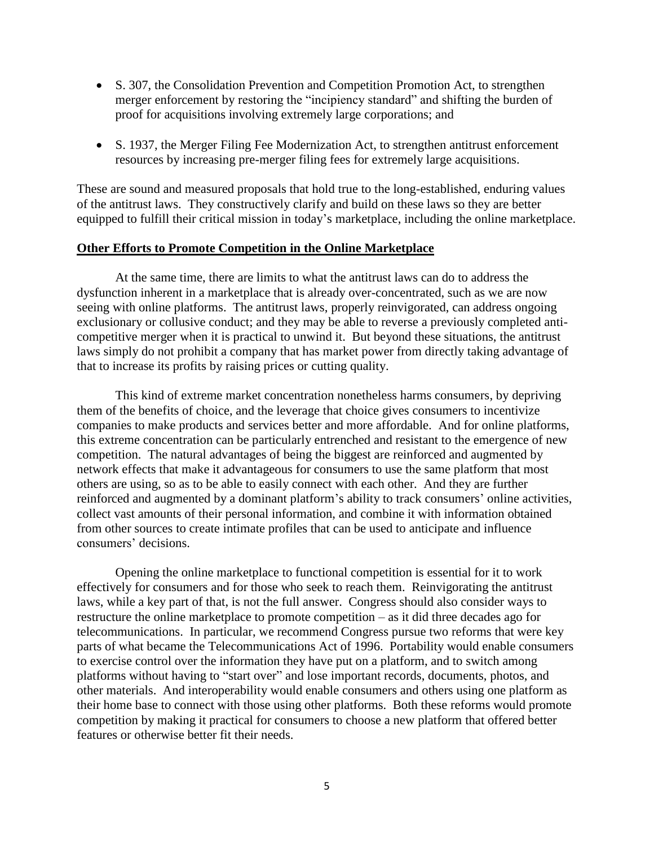- S. 307, the Consolidation Prevention and Competition Promotion Act, to strengthen merger enforcement by restoring the "incipiency standard" and shifting the burden of proof for acquisitions involving extremely large corporations; and
- S. 1937, the Merger Filing Fee Modernization Act, to strengthen antitrust enforcement resources by increasing pre-merger filing fees for extremely large acquisitions.

These are sound and measured proposals that hold true to the long-established, enduring values of the antitrust laws. They constructively clarify and build on these laws so they are better equipped to fulfill their critical mission in today's marketplace, including the online marketplace.

## **Other Efforts to Promote Competition in the Online Marketplace**

At the same time, there are limits to what the antitrust laws can do to address the dysfunction inherent in a marketplace that is already over-concentrated, such as we are now seeing with online platforms. The antitrust laws, properly reinvigorated, can address ongoing exclusionary or collusive conduct; and they may be able to reverse a previously completed anticompetitive merger when it is practical to unwind it. But beyond these situations, the antitrust laws simply do not prohibit a company that has market power from directly taking advantage of that to increase its profits by raising prices or cutting quality.

This kind of extreme market concentration nonetheless harms consumers, by depriving them of the benefits of choice, and the leverage that choice gives consumers to incentivize companies to make products and services better and more affordable. And for online platforms, this extreme concentration can be particularly entrenched and resistant to the emergence of new competition. The natural advantages of being the biggest are reinforced and augmented by network effects that make it advantageous for consumers to use the same platform that most others are using, so as to be able to easily connect with each other. And they are further reinforced and augmented by a dominant platform's ability to track consumers' online activities, collect vast amounts of their personal information, and combine it with information obtained from other sources to create intimate profiles that can be used to anticipate and influence consumers' decisions.

Opening the online marketplace to functional competition is essential for it to work effectively for consumers and for those who seek to reach them. Reinvigorating the antitrust laws, while a key part of that, is not the full answer. Congress should also consider ways to restructure the online marketplace to promote competition – as it did three decades ago for telecommunications. In particular, we recommend Congress pursue two reforms that were key parts of what became the Telecommunications Act of 1996. Portability would enable consumers to exercise control over the information they have put on a platform, and to switch among platforms without having to "start over" and lose important records, documents, photos, and other materials. And interoperability would enable consumers and others using one platform as their home base to connect with those using other platforms. Both these reforms would promote competition by making it practical for consumers to choose a new platform that offered better features or otherwise better fit their needs.